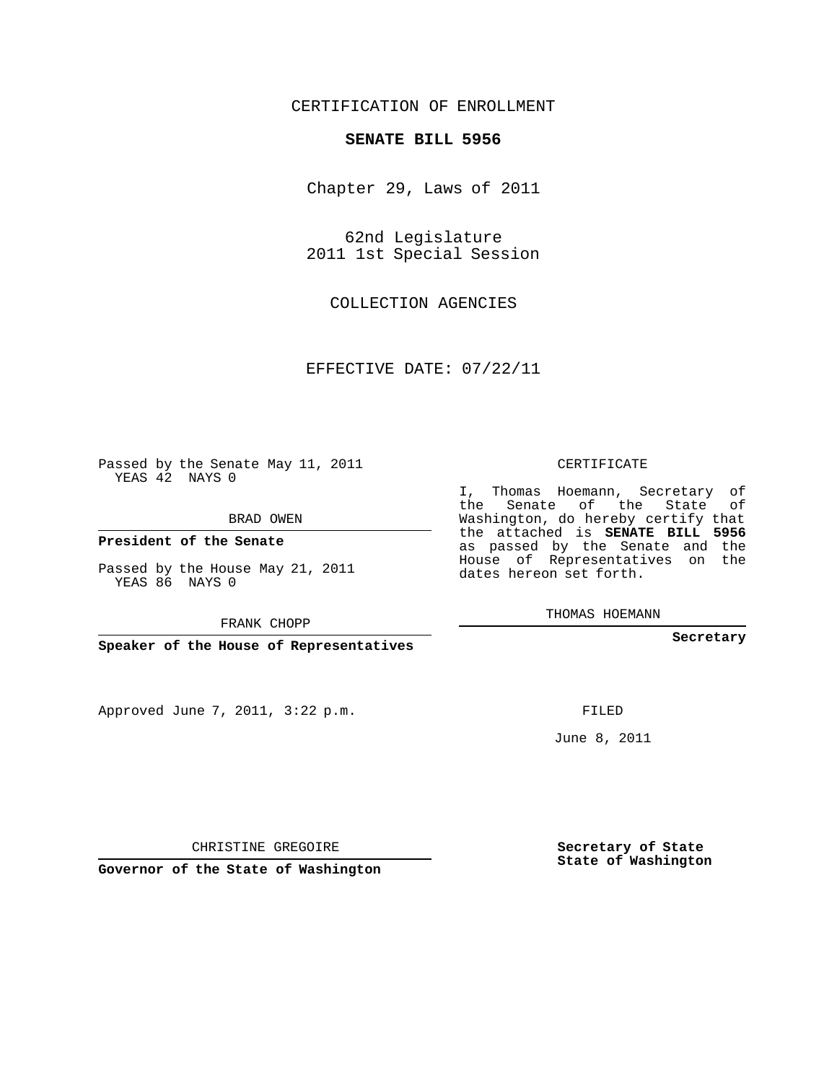## CERTIFICATION OF ENROLLMENT

## **SENATE BILL 5956**

Chapter 29, Laws of 2011

62nd Legislature 2011 1st Special Session

COLLECTION AGENCIES

EFFECTIVE DATE: 07/22/11

 $\sim$  100  $\mu$ 

Passed by the Senate May 11, 2011 YEAS 42 NAYS 0

BRAD OWEN

**President of the Senate**

Passed by the House May 21, 2011 YEAS 86 NAYS 0

FRANK CHOPP

**Speaker of the House of Representatives**

Approved June 7, 2011, 3:22 p.m.

## CERTIFICATE

I, Thomas Hoemann, Secretary of the Senate of the State of Washington, do hereby certify that the attached is **SENATE BILL 5956** as passed by the Senate and the House of Representatives on the dates hereon set forth.

THOMAS HOEMANN

**Secretary**

FILED

June 8, 2011

**Secretary of State State of Washington**

CHRISTINE GREGOIRE

**Governor of the State of Washington**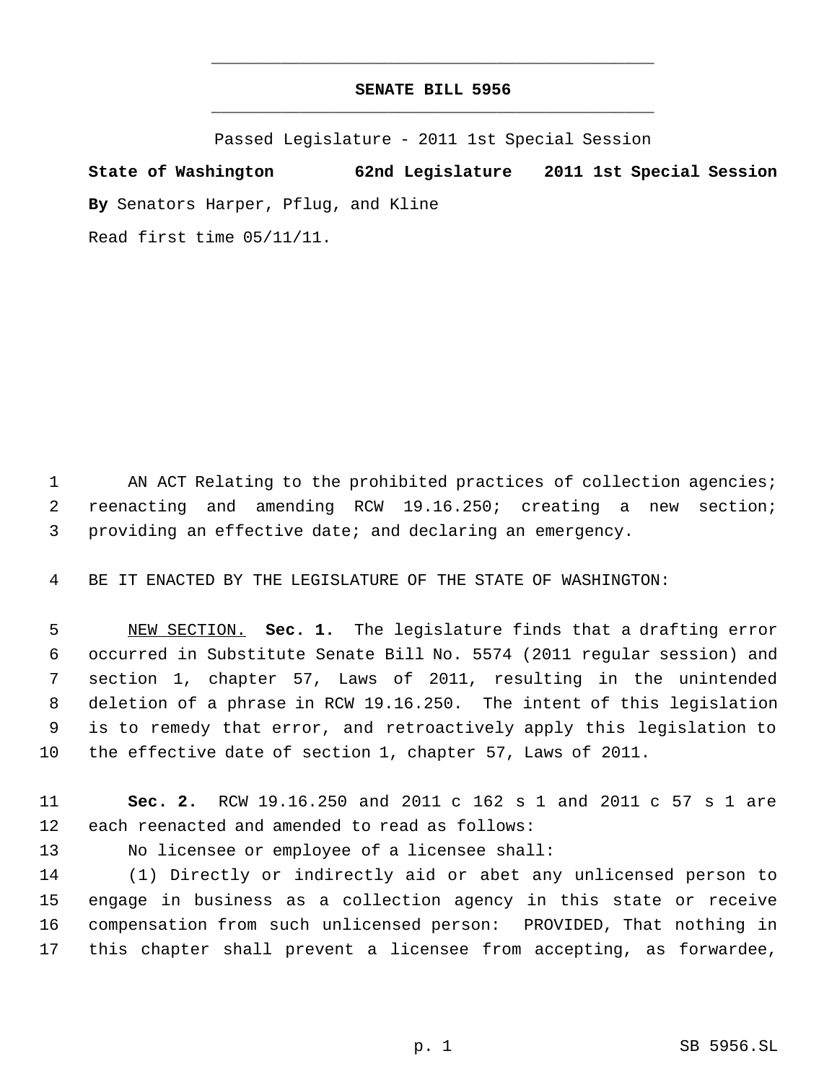## **SENATE BILL 5956** \_\_\_\_\_\_\_\_\_\_\_\_\_\_\_\_\_\_\_\_\_\_\_\_\_\_\_\_\_\_\_\_\_\_\_\_\_\_\_\_\_\_\_\_\_

\_\_\_\_\_\_\_\_\_\_\_\_\_\_\_\_\_\_\_\_\_\_\_\_\_\_\_\_\_\_\_\_\_\_\_\_\_\_\_\_\_\_\_\_\_

Passed Legislature - 2011 1st Special Session

**State of Washington 62nd Legislature 2011 1st Special Session By** Senators Harper, Pflug, and Kline Read first time 05/11/11.

1 AN ACT Relating to the prohibited practices of collection agencies; reenacting and amending RCW 19.16.250; creating a new section; providing an effective date; and declaring an emergency.

BE IT ENACTED BY THE LEGISLATURE OF THE STATE OF WASHINGTON:

 NEW SECTION. **Sec. 1.** The legislature finds that a drafting error occurred in Substitute Senate Bill No. 5574 (2011 regular session) and section 1, chapter 57, Laws of 2011, resulting in the unintended deletion of a phrase in RCW 19.16.250. The intent of this legislation is to remedy that error, and retroactively apply this legislation to the effective date of section 1, chapter 57, Laws of 2011.

 **Sec. 2.** RCW 19.16.250 and 2011 c 162 s 1 and 2011 c 57 s 1 are each reenacted and amended to read as follows:

No licensee or employee of a licensee shall:

 (1) Directly or indirectly aid or abet any unlicensed person to engage in business as a collection agency in this state or receive compensation from such unlicensed person: PROVIDED, That nothing in this chapter shall prevent a licensee from accepting, as forwardee,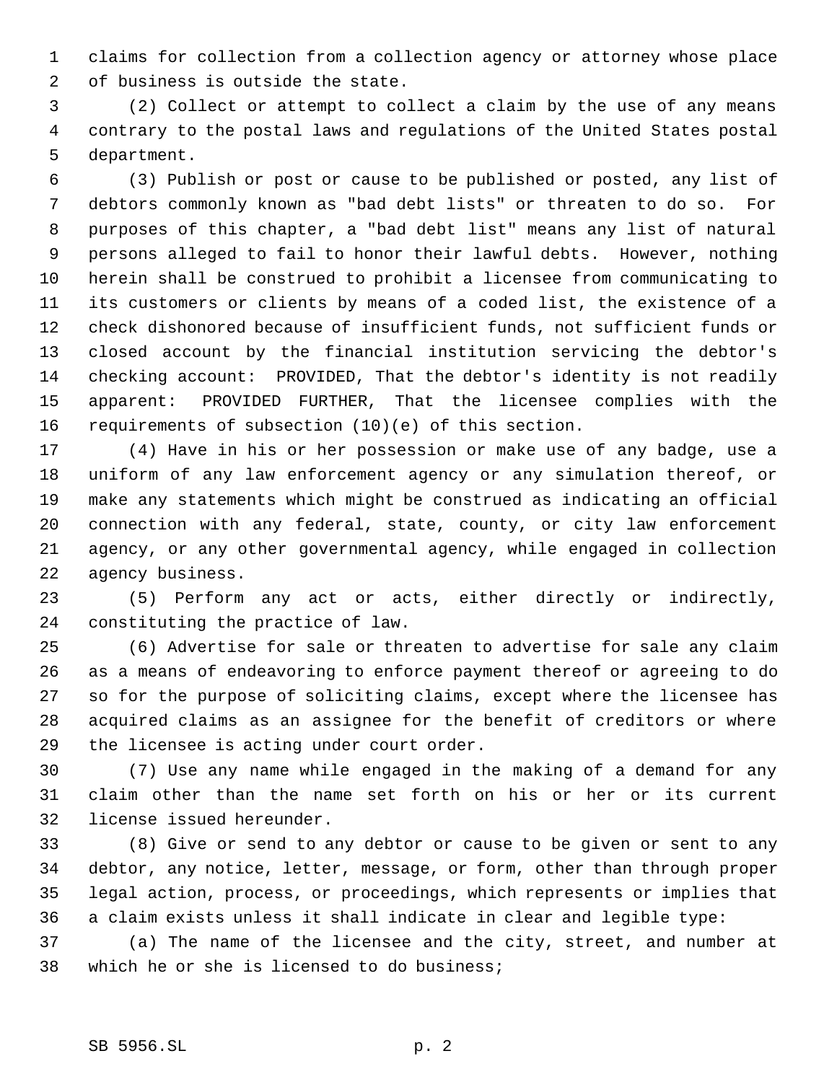claims for collection from a collection agency or attorney whose place of business is outside the state.

 (2) Collect or attempt to collect a claim by the use of any means contrary to the postal laws and regulations of the United States postal department.

 (3) Publish or post or cause to be published or posted, any list of debtors commonly known as "bad debt lists" or threaten to do so. For purposes of this chapter, a "bad debt list" means any list of natural persons alleged to fail to honor their lawful debts. However, nothing herein shall be construed to prohibit a licensee from communicating to its customers or clients by means of a coded list, the existence of a check dishonored because of insufficient funds, not sufficient funds or closed account by the financial institution servicing the debtor's checking account: PROVIDED, That the debtor's identity is not readily apparent: PROVIDED FURTHER, That the licensee complies with the requirements of subsection (10)(e) of this section.

 (4) Have in his or her possession or make use of any badge, use a uniform of any law enforcement agency or any simulation thereof, or make any statements which might be construed as indicating an official connection with any federal, state, county, or city law enforcement agency, or any other governmental agency, while engaged in collection agency business.

 (5) Perform any act or acts, either directly or indirectly, constituting the practice of law.

 (6) Advertise for sale or threaten to advertise for sale any claim as a means of endeavoring to enforce payment thereof or agreeing to do so for the purpose of soliciting claims, except where the licensee has acquired claims as an assignee for the benefit of creditors or where the licensee is acting under court order.

 (7) Use any name while engaged in the making of a demand for any claim other than the name set forth on his or her or its current license issued hereunder.

 (8) Give or send to any debtor or cause to be given or sent to any debtor, any notice, letter, message, or form, other than through proper legal action, process, or proceedings, which represents or implies that a claim exists unless it shall indicate in clear and legible type:

 (a) The name of the licensee and the city, street, and number at which he or she is licensed to do business;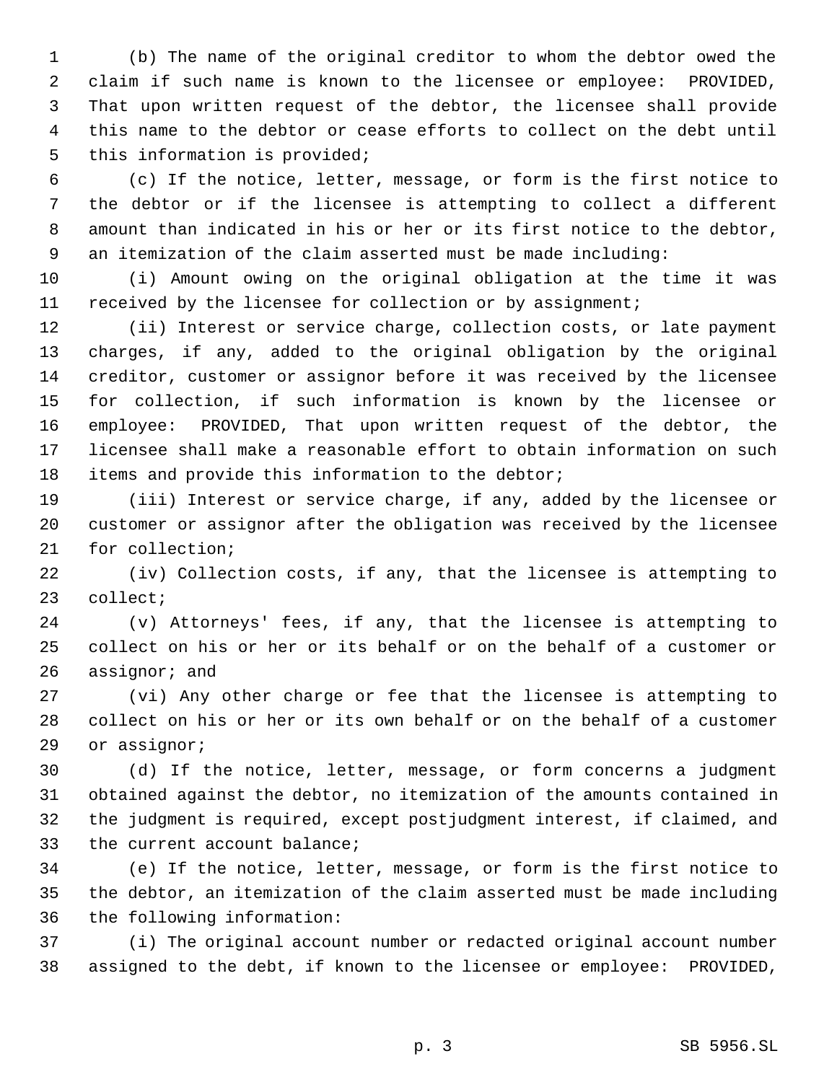(b) The name of the original creditor to whom the debtor owed the claim if such name is known to the licensee or employee: PROVIDED, That upon written request of the debtor, the licensee shall provide this name to the debtor or cease efforts to collect on the debt until this information is provided;

 (c) If the notice, letter, message, or form is the first notice to the debtor or if the licensee is attempting to collect a different amount than indicated in his or her or its first notice to the debtor, an itemization of the claim asserted must be made including:

 (i) Amount owing on the original obligation at the time it was received by the licensee for collection or by assignment;

 (ii) Interest or service charge, collection costs, or late payment charges, if any, added to the original obligation by the original creditor, customer or assignor before it was received by the licensee for collection, if such information is known by the licensee or employee: PROVIDED, That upon written request of the debtor, the licensee shall make a reasonable effort to obtain information on such items and provide this information to the debtor;

 (iii) Interest or service charge, if any, added by the licensee or customer or assignor after the obligation was received by the licensee for collection;

 (iv) Collection costs, if any, that the licensee is attempting to collect;

 (v) Attorneys' fees, if any, that the licensee is attempting to collect on his or her or its behalf or on the behalf of a customer or assignor; and

 (vi) Any other charge or fee that the licensee is attempting to collect on his or her or its own behalf or on the behalf of a customer or assignor;

 (d) If the notice, letter, message, or form concerns a judgment obtained against the debtor, no itemization of the amounts contained in the judgment is required, except postjudgment interest, if claimed, and the current account balance;

 (e) If the notice, letter, message, or form is the first notice to the debtor, an itemization of the claim asserted must be made including the following information:

 (i) The original account number or redacted original account number assigned to the debt, if known to the licensee or employee: PROVIDED,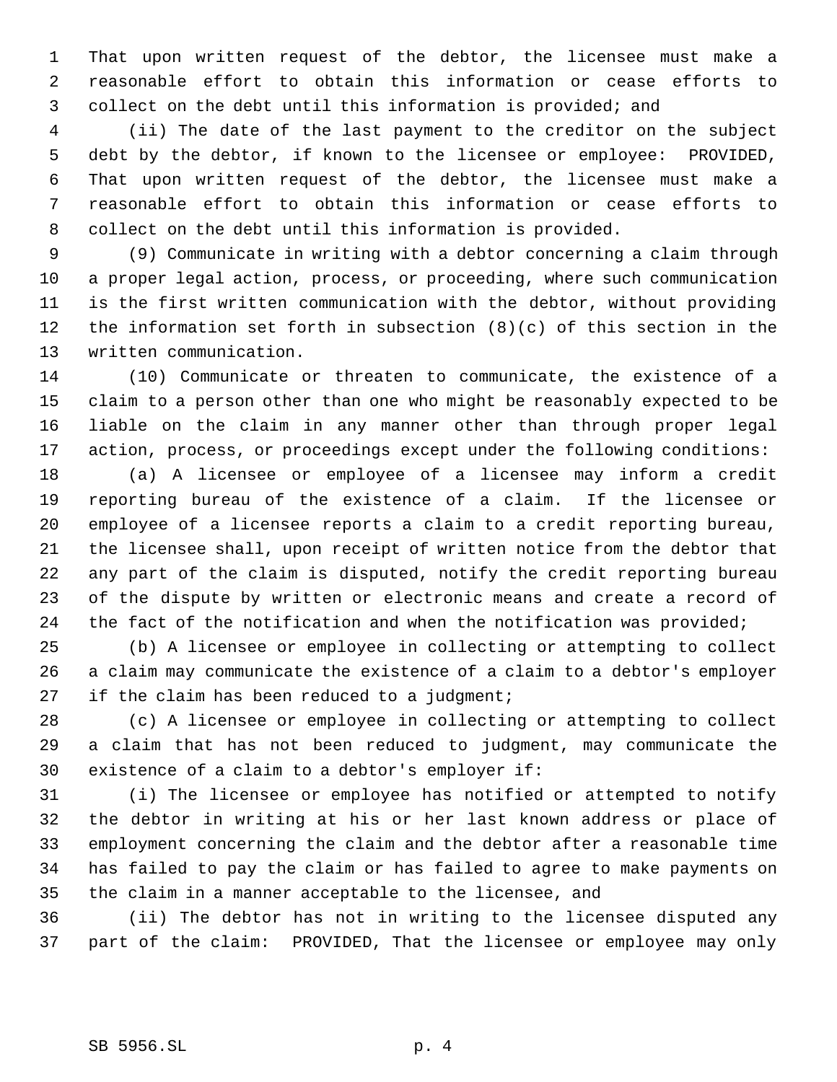That upon written request of the debtor, the licensee must make a reasonable effort to obtain this information or cease efforts to collect on the debt until this information is provided; and

 (ii) The date of the last payment to the creditor on the subject debt by the debtor, if known to the licensee or employee: PROVIDED, That upon written request of the debtor, the licensee must make a reasonable effort to obtain this information or cease efforts to collect on the debt until this information is provided.

 (9) Communicate in writing with a debtor concerning a claim through a proper legal action, process, or proceeding, where such communication is the first written communication with the debtor, without providing the information set forth in subsection (8)(c) of this section in the written communication.

 (10) Communicate or threaten to communicate, the existence of a claim to a person other than one who might be reasonably expected to be liable on the claim in any manner other than through proper legal action, process, or proceedings except under the following conditions:

 (a) A licensee or employee of a licensee may inform a credit reporting bureau of the existence of a claim. If the licensee or employee of a licensee reports a claim to a credit reporting bureau, the licensee shall, upon receipt of written notice from the debtor that any part of the claim is disputed, notify the credit reporting bureau of the dispute by written or electronic means and create a record of 24 the fact of the notification and when the notification was provided;

 (b) A licensee or employee in collecting or attempting to collect a claim may communicate the existence of a claim to a debtor's employer 27 if the claim has been reduced to a judgment;

 (c) A licensee or employee in collecting or attempting to collect a claim that has not been reduced to judgment, may communicate the existence of a claim to a debtor's employer if:

 (i) The licensee or employee has notified or attempted to notify the debtor in writing at his or her last known address or place of employment concerning the claim and the debtor after a reasonable time has failed to pay the claim or has failed to agree to make payments on the claim in a manner acceptable to the licensee, and

 (ii) The debtor has not in writing to the licensee disputed any part of the claim: PROVIDED, That the licensee or employee may only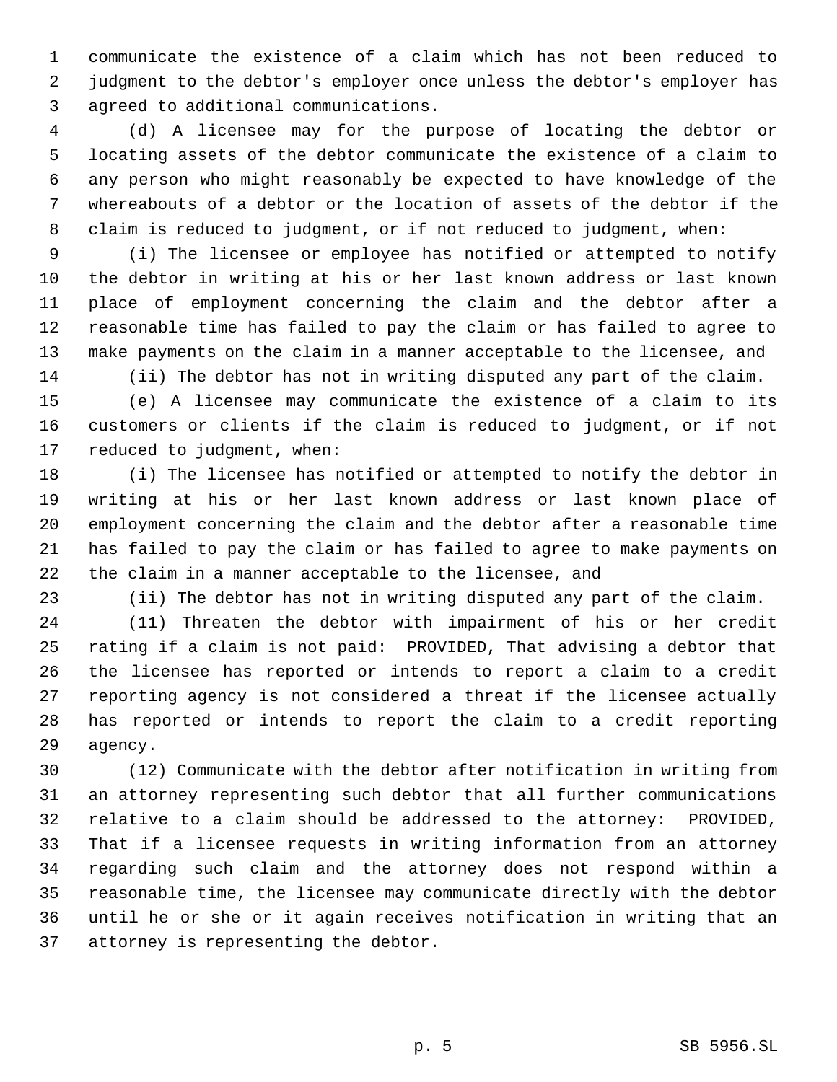communicate the existence of a claim which has not been reduced to judgment to the debtor's employer once unless the debtor's employer has agreed to additional communications.

 (d) A licensee may for the purpose of locating the debtor or locating assets of the debtor communicate the existence of a claim to any person who might reasonably be expected to have knowledge of the whereabouts of a debtor or the location of assets of the debtor if the claim is reduced to judgment, or if not reduced to judgment, when:

 (i) The licensee or employee has notified or attempted to notify the debtor in writing at his or her last known address or last known place of employment concerning the claim and the debtor after a reasonable time has failed to pay the claim or has failed to agree to make payments on the claim in a manner acceptable to the licensee, and (ii) The debtor has not in writing disputed any part of the claim.

 (e) A licensee may communicate the existence of a claim to its customers or clients if the claim is reduced to judgment, or if not reduced to judgment, when:

 (i) The licensee has notified or attempted to notify the debtor in writing at his or her last known address or last known place of employment concerning the claim and the debtor after a reasonable time has failed to pay the claim or has failed to agree to make payments on the claim in a manner acceptable to the licensee, and

(ii) The debtor has not in writing disputed any part of the claim.

 (11) Threaten the debtor with impairment of his or her credit rating if a claim is not paid: PROVIDED, That advising a debtor that the licensee has reported or intends to report a claim to a credit reporting agency is not considered a threat if the licensee actually has reported or intends to report the claim to a credit reporting agency.

 (12) Communicate with the debtor after notification in writing from an attorney representing such debtor that all further communications relative to a claim should be addressed to the attorney: PROVIDED, That if a licensee requests in writing information from an attorney regarding such claim and the attorney does not respond within a reasonable time, the licensee may communicate directly with the debtor until he or she or it again receives notification in writing that an attorney is representing the debtor.

p. 5 SB 5956.SL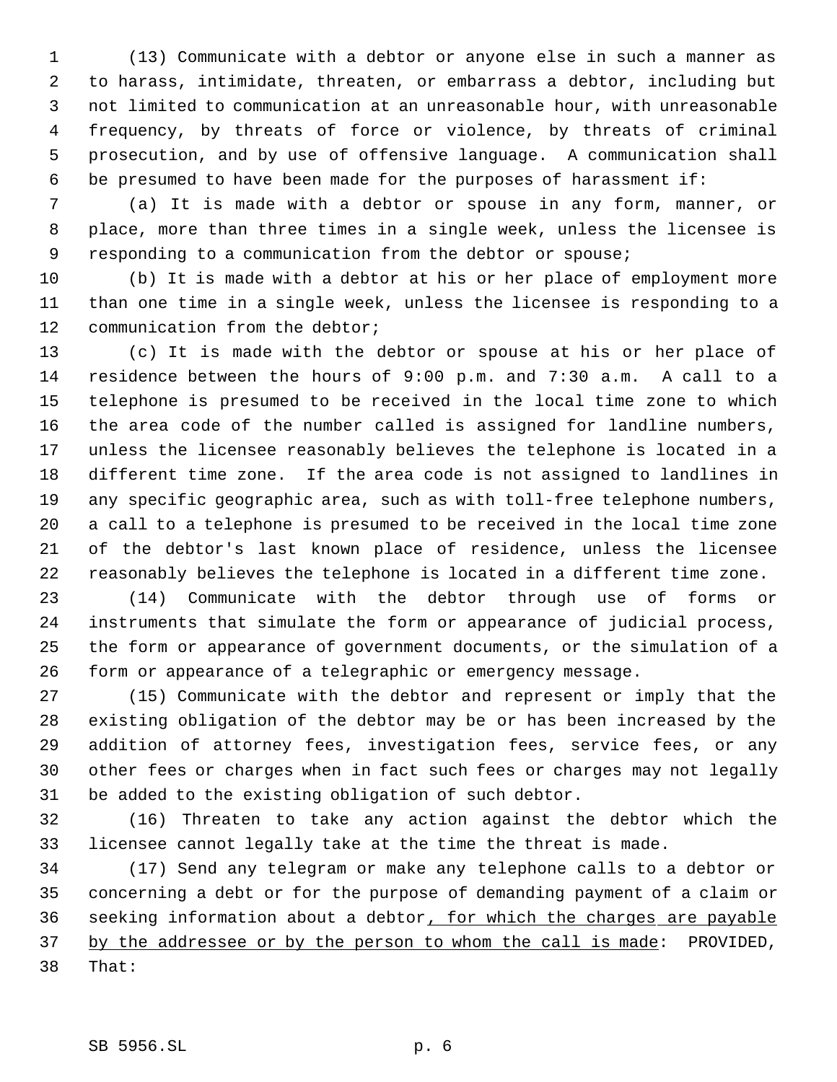(13) Communicate with a debtor or anyone else in such a manner as to harass, intimidate, threaten, or embarrass a debtor, including but not limited to communication at an unreasonable hour, with unreasonable frequency, by threats of force or violence, by threats of criminal prosecution, and by use of offensive language. A communication shall be presumed to have been made for the purposes of harassment if:

 (a) It is made with a debtor or spouse in any form, manner, or place, more than three times in a single week, unless the licensee is responding to a communication from the debtor or spouse;

 (b) It is made with a debtor at his or her place of employment more than one time in a single week, unless the licensee is responding to a communication from the debtor;

 (c) It is made with the debtor or spouse at his or her place of residence between the hours of 9:00 p.m. and 7:30 a.m. A call to a telephone is presumed to be received in the local time zone to which the area code of the number called is assigned for landline numbers, unless the licensee reasonably believes the telephone is located in a different time zone. If the area code is not assigned to landlines in any specific geographic area, such as with toll-free telephone numbers, a call to a telephone is presumed to be received in the local time zone of the debtor's last known place of residence, unless the licensee reasonably believes the telephone is located in a different time zone.

 (14) Communicate with the debtor through use of forms or instruments that simulate the form or appearance of judicial process, the form or appearance of government documents, or the simulation of a form or appearance of a telegraphic or emergency message.

 (15) Communicate with the debtor and represent or imply that the existing obligation of the debtor may be or has been increased by the addition of attorney fees, investigation fees, service fees, or any other fees or charges when in fact such fees or charges may not legally be added to the existing obligation of such debtor.

 (16) Threaten to take any action against the debtor which the licensee cannot legally take at the time the threat is made.

 (17) Send any telegram or make any telephone calls to a debtor or concerning a debt or for the purpose of demanding payment of a claim or 36 seeking information about a debtor, for which the charges are payable 37 by the addressee or by the person to whom the call is made: PROVIDED, That: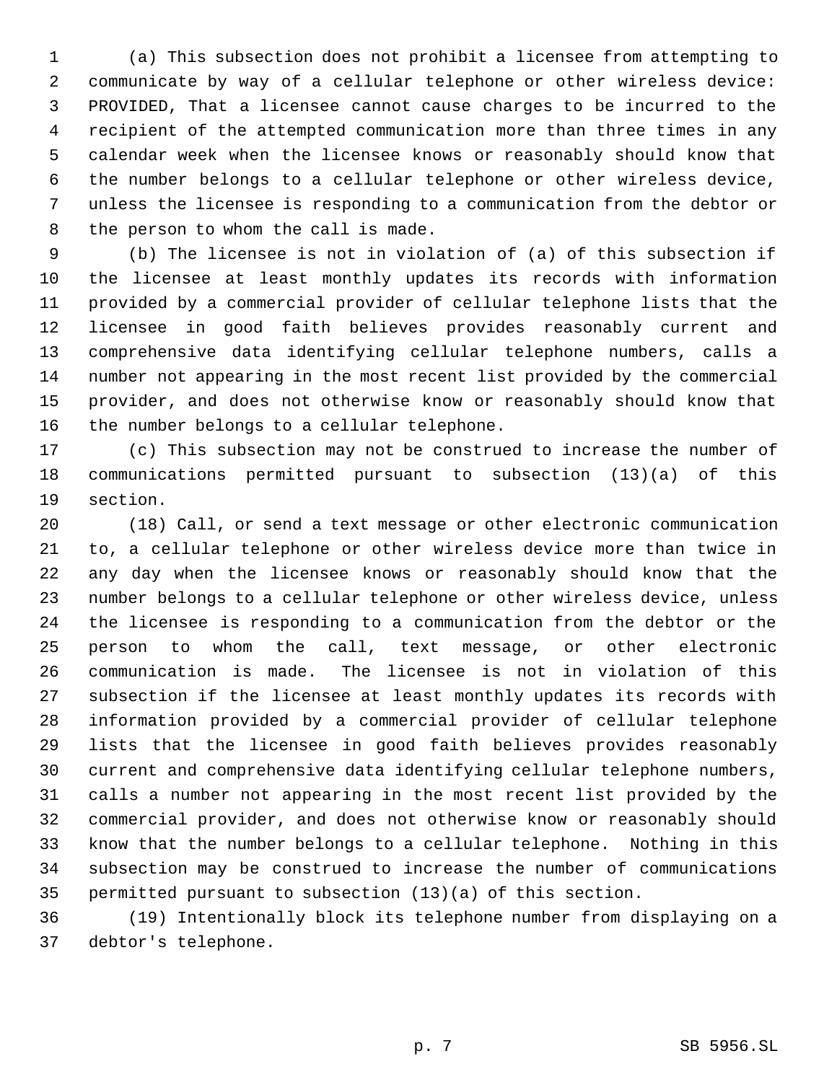(a) This subsection does not prohibit a licensee from attempting to communicate by way of a cellular telephone or other wireless device: PROVIDED, That a licensee cannot cause charges to be incurred to the recipient of the attempted communication more than three times in any calendar week when the licensee knows or reasonably should know that the number belongs to a cellular telephone or other wireless device, unless the licensee is responding to a communication from the debtor or the person to whom the call is made.

 (b) The licensee is not in violation of (a) of this subsection if the licensee at least monthly updates its records with information provided by a commercial provider of cellular telephone lists that the licensee in good faith believes provides reasonably current and comprehensive data identifying cellular telephone numbers, calls a number not appearing in the most recent list provided by the commercial provider, and does not otherwise know or reasonably should know that the number belongs to a cellular telephone.

 (c) This subsection may not be construed to increase the number of communications permitted pursuant to subsection (13)(a) of this section.

 (18) Call, or send a text message or other electronic communication to, a cellular telephone or other wireless device more than twice in any day when the licensee knows or reasonably should know that the number belongs to a cellular telephone or other wireless device, unless the licensee is responding to a communication from the debtor or the person to whom the call, text message, or other electronic communication is made. The licensee is not in violation of this subsection if the licensee at least monthly updates its records with information provided by a commercial provider of cellular telephone lists that the licensee in good faith believes provides reasonably current and comprehensive data identifying cellular telephone numbers, calls a number not appearing in the most recent list provided by the commercial provider, and does not otherwise know or reasonably should know that the number belongs to a cellular telephone. Nothing in this subsection may be construed to increase the number of communications permitted pursuant to subsection (13)(a) of this section.

 (19) Intentionally block its telephone number from displaying on a debtor's telephone.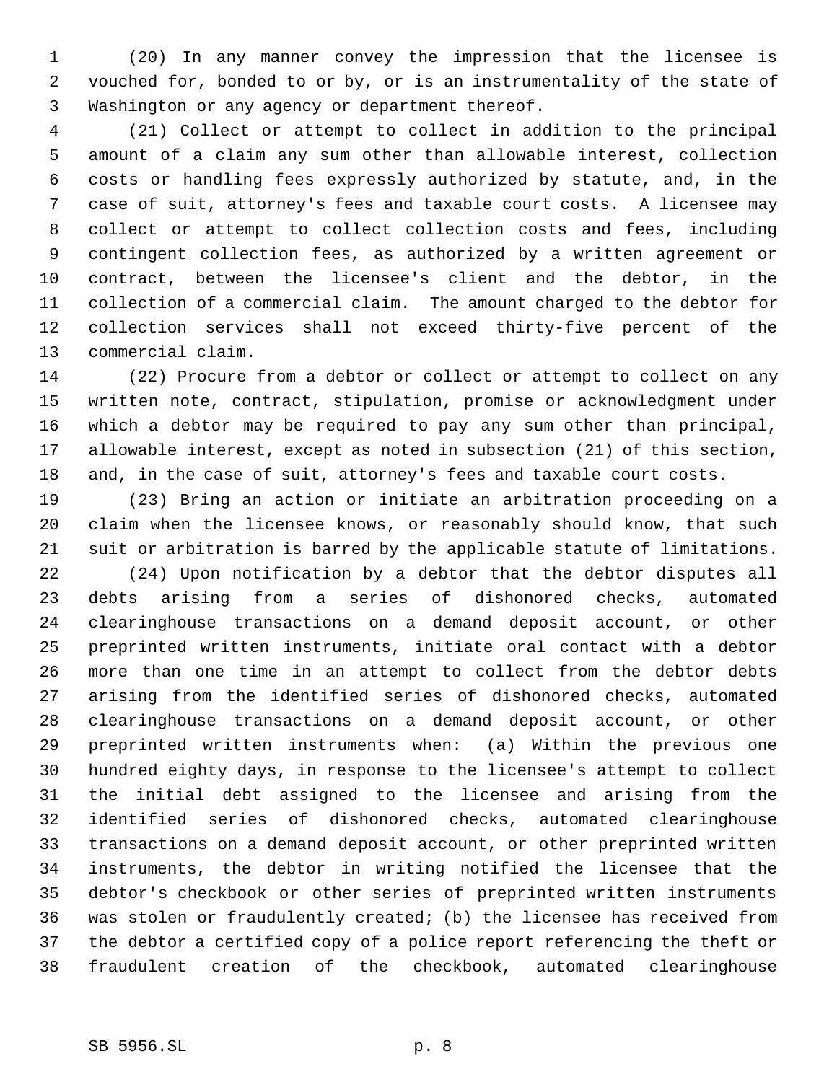(20) In any manner convey the impression that the licensee is vouched for, bonded to or by, or is an instrumentality of the state of Washington or any agency or department thereof.

 (21) Collect or attempt to collect in addition to the principal amount of a claim any sum other than allowable interest, collection costs or handling fees expressly authorized by statute, and, in the case of suit, attorney's fees and taxable court costs. A licensee may collect or attempt to collect collection costs and fees, including contingent collection fees, as authorized by a written agreement or contract, between the licensee's client and the debtor, in the collection of a commercial claim. The amount charged to the debtor for collection services shall not exceed thirty-five percent of the commercial claim.

 (22) Procure from a debtor or collect or attempt to collect on any written note, contract, stipulation, promise or acknowledgment under which a debtor may be required to pay any sum other than principal, allowable interest, except as noted in subsection (21) of this section, and, in the case of suit, attorney's fees and taxable court costs.

 (23) Bring an action or initiate an arbitration proceeding on a claim when the licensee knows, or reasonably should know, that such suit or arbitration is barred by the applicable statute of limitations.

 (24) Upon notification by a debtor that the debtor disputes all debts arising from a series of dishonored checks, automated clearinghouse transactions on a demand deposit account, or other preprinted written instruments, initiate oral contact with a debtor more than one time in an attempt to collect from the debtor debts arising from the identified series of dishonored checks, automated clearinghouse transactions on a demand deposit account, or other preprinted written instruments when: (a) Within the previous one hundred eighty days, in response to the licensee's attempt to collect the initial debt assigned to the licensee and arising from the identified series of dishonored checks, automated clearinghouse transactions on a demand deposit account, or other preprinted written instruments, the debtor in writing notified the licensee that the debtor's checkbook or other series of preprinted written instruments was stolen or fraudulently created; (b) the licensee has received from the debtor a certified copy of a police report referencing the theft or fraudulent creation of the checkbook, automated clearinghouse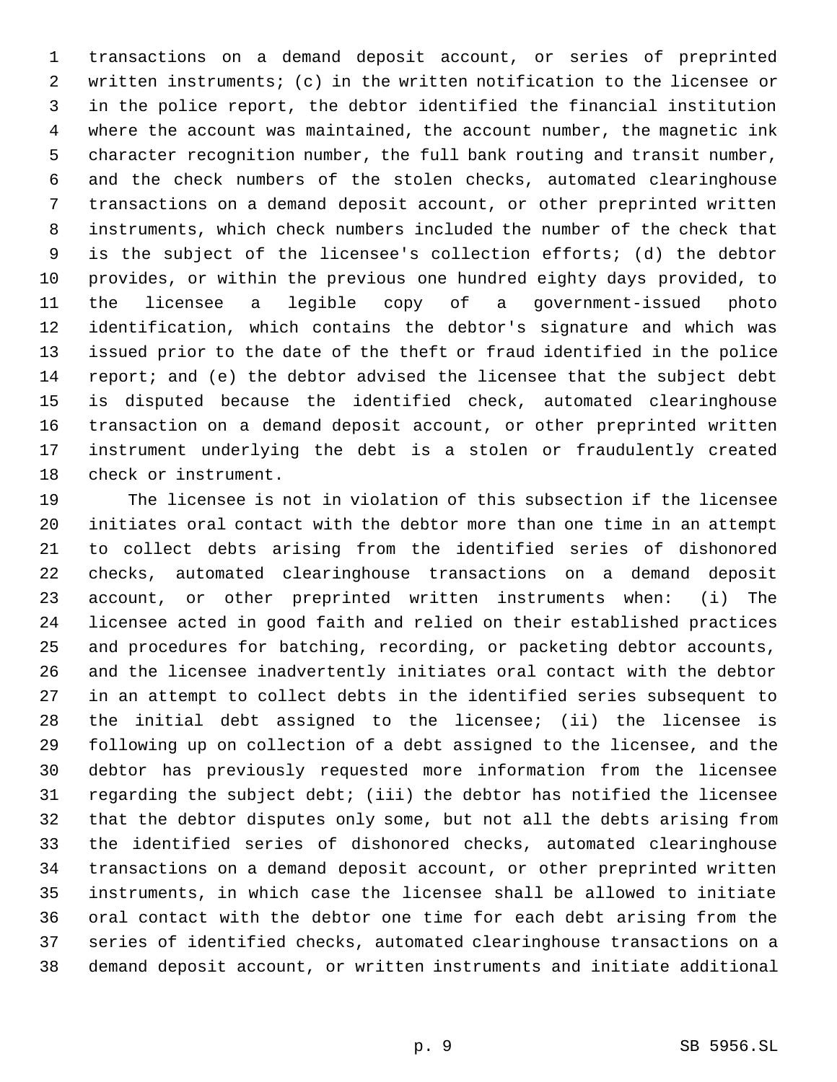transactions on a demand deposit account, or series of preprinted written instruments; (c) in the written notification to the licensee or in the police report, the debtor identified the financial institution where the account was maintained, the account number, the magnetic ink character recognition number, the full bank routing and transit number, and the check numbers of the stolen checks, automated clearinghouse transactions on a demand deposit account, or other preprinted written instruments, which check numbers included the number of the check that is the subject of the licensee's collection efforts; (d) the debtor provides, or within the previous one hundred eighty days provided, to the licensee a legible copy of a government-issued photo identification, which contains the debtor's signature and which was issued prior to the date of the theft or fraud identified in the police report; and (e) the debtor advised the licensee that the subject debt is disputed because the identified check, automated clearinghouse transaction on a demand deposit account, or other preprinted written instrument underlying the debt is a stolen or fraudulently created check or instrument.

 The licensee is not in violation of this subsection if the licensee initiates oral contact with the debtor more than one time in an attempt to collect debts arising from the identified series of dishonored checks, automated clearinghouse transactions on a demand deposit account, or other preprinted written instruments when: (i) The licensee acted in good faith and relied on their established practices and procedures for batching, recording, or packeting debtor accounts, and the licensee inadvertently initiates oral contact with the debtor in an attempt to collect debts in the identified series subsequent to the initial debt assigned to the licensee; (ii) the licensee is following up on collection of a debt assigned to the licensee, and the debtor has previously requested more information from the licensee regarding the subject debt; (iii) the debtor has notified the licensee that the debtor disputes only some, but not all the debts arising from the identified series of dishonored checks, automated clearinghouse transactions on a demand deposit account, or other preprinted written instruments, in which case the licensee shall be allowed to initiate oral contact with the debtor one time for each debt arising from the series of identified checks, automated clearinghouse transactions on a demand deposit account, or written instruments and initiate additional